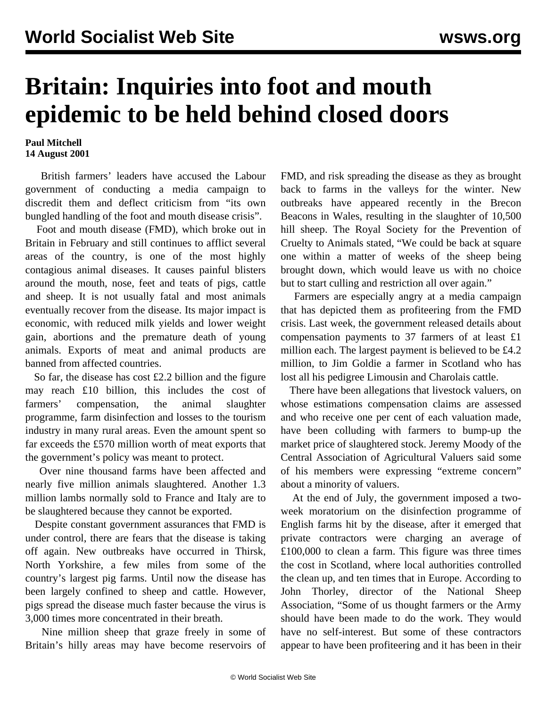## **Britain: Inquiries into foot and mouth epidemic to be held behind closed doors**

## **Paul Mitchell 14 August 2001**

 British farmers' leaders have accused the Labour government of conducting a media campaign to discredit them and deflect criticism from "its own bungled handling of the foot and mouth disease crisis".

 Foot and mouth disease (FMD), which broke out in Britain in February and still continues to afflict several areas of the country, is one of the most highly contagious animal diseases. It causes painful blisters around the mouth, nose, feet and teats of pigs, cattle and sheep. It is not usually fatal and most animals eventually recover from the disease. Its major impact is economic, with reduced milk yields and lower weight gain, abortions and the premature death of young animals. Exports of meat and animal products are banned from affected countries.

 So far, the disease has cost £2.2 billion and the figure may reach £10 billion, this includes the cost of farmers' compensation, the animal slaughter programme, farm disinfection and losses to the tourism industry in many rural areas. Even the amount spent so far exceeds the £570 million worth of meat exports that the government's policy was meant to protect.

 Over nine thousand farms have been affected and nearly five million animals slaughtered. Another 1.3 million lambs normally sold to France and Italy are to be slaughtered because they cannot be exported.

 Despite constant government assurances that FMD is under control, there are fears that the disease is taking off again. New outbreaks have occurred in Thirsk, North Yorkshire, a few miles from some of the country's largest pig farms. Until now the disease has been largely confined to sheep and cattle. However, pigs spread the disease much faster because the virus is 3,000 times more concentrated in their breath.

 Nine million sheep that graze freely in some of Britain's hilly areas may have become reservoirs of FMD, and risk spreading the disease as they as brought back to farms in the valleys for the winter. New outbreaks have appeared recently in the Brecon Beacons in Wales, resulting in the slaughter of 10,500 hill sheep. The Royal Society for the Prevention of Cruelty to Animals stated, "We could be back at square one within a matter of weeks of the sheep being brought down, which would leave us with no choice but to start culling and restriction all over again."

 Farmers are especially angry at a media campaign that has depicted them as profiteering from the FMD crisis. Last week, the government released details about compensation payments to 37 farmers of at least £1 million each. The largest payment is believed to be £4.2 million, to Jim Goldie a farmer in Scotland who has lost all his pedigree Limousin and Charolais cattle.

 There have been allegations that livestock valuers, on whose estimations compensation claims are assessed and who receive one per cent of each valuation made, have been colluding with farmers to bump-up the market price of slaughtered stock. Jeremy Moody of the Central Association of Agricultural Valuers said some of his members were expressing "extreme concern" about a minority of valuers.

 At the end of July, the government imposed a twoweek moratorium on the disinfection programme of English farms hit by the disease, after it emerged that private contractors were charging an average of £100,000 to clean a farm. This figure was three times the cost in Scotland, where local authorities controlled the clean up, and ten times that in Europe. According to John Thorley, director of the National Sheep Association, "Some of us thought farmers or the Army should have been made to do the work. They would have no self-interest. But some of these contractors appear to have been profiteering and it has been in their